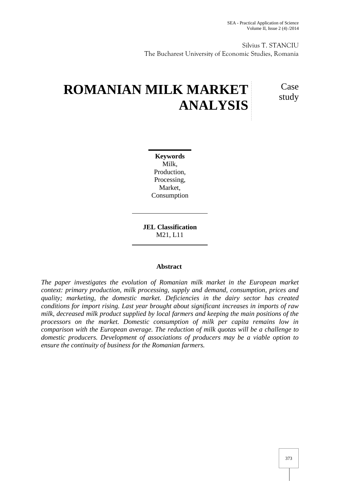Silvius T. STANCIU The Bucharest University of Economic Studies, Romania

# **ROMANIAN MILK MARKET ANALYSIS**

Case study

**Keywords** Milk, Production, Processing, Market, Consumption

**JEL Classification** M21, L11

# **Abstract**

*The paper investigates the evolution of Romanian milk market in the European market context: primary production, milk processing, supply and demand, consumption, prices and quality; marketing, the domestic market. Deficiencies in the dairy sector has created conditions for import rising. Last year brought about significant increases in imports of raw milk, decreased milk product supplied by local farmers and keeping the main positions of the processors on the market. Domestic consumption of milk per capita remains low in comparison with the European average. The reduction of milk quotas will be a challenge to domestic producers. Development of associations of producers may be a viable option to ensure the continuity of business for the Romanian farmers.*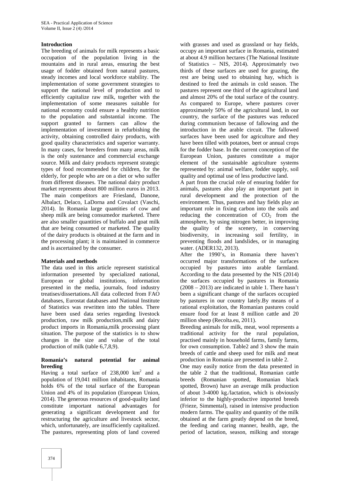#### **Introduction**

The breeding of animals for milk represents a basic occupation of the population living in the mountains and in rural areas, ensuring the best usage of fodder obtained from natural pastures, steady incomes and local workforce stability. The implementation of some government strategies to support the national level of production and to efficiently capitalize raw milk, together with the implementation of some measures suitable for national economy could ensure a healthy nutrition to the population and substantial income. The support granted to farmers can allow the implementation of investment in refurbishing the activity, obtaining controlled dairy products, with good quality characteristics and superior warranty. In many cases, for breeders from many areas, milk is the only sustenance and commercial exchange source. Milk and dairy products represent strategic types of food recommended for children, for the elderly, for people who are on a diet or who suffer from different diseases. The national dairy product market represents about 800 million euros in 2013. The main competitors are Friesland, Danone, Albalact, Delaco, LaDorna and Covalact (Vaschi, 2014). In Romania large quantities of cow and sheep milk are being consumedor marketed. There are also smaller quantities of buffalo and goat milk that are being consumed or marketed. The quality of the dairy products is obtained at the farm and in the processing plant; it is maintained in commerce and is ascertained by the consumer.

#### **Materials and methods**

The data used in this article represent statistical information presented by specialized national, European or global institutions, information presented in the media, journals, food industry treatises/dissertations.All data collected from FAO databases, Eurostat databases and National Institute of Statistics was rewritten into the tables. There have been used data series regarding livestock production, raw milk production,milk and dairy product imports in Romania,milk processing plant situation. The purpose of the statistics is to show changes in the size and value of the total production of milk (table 6,7,8,9).

#### **Romania's natural potential for animal breeding**

Having a total surface of  $238,000 \text{ km}^2$  and a population of 19,041 million inhabitants, Romania holds 6% of the total surface of the European Union and 4% of its population (European Union, 2014). The generous resources of good-quality land constitute important national advantages for generating a significant development and for restructuring the agriculture and livestock sector, which, unfortunately, are insufficiently capitalized. The pastures, representing plots of land covered

with grasses and used as grassland or hay fields, occupy an important surface in Romania, estimated at about 4.9 million hectares (The National Institute of Statistics – NIS, 2014). Approximately two thirds of these surfaces are used for grazing, the rest are being used to obtaining hay, which is destined to feed the animals in cold season. The pastures represent one third of the agricultural land and almost 20% of the total surface of the country. As compared to Europe, where pastures cover approximately 50% of the agricultural land, in our country, the surface of the pastures was reduced during communism because of fallowing and the introduction in the arable circuit. The fallowed surfaces have been used for agriculture and they have been tilled with potatoes, beet or annual crops for the fodder base. In the current conception of the European Union, pastures constitute a major element of the sustainable agriculture systems represented by: animal welfare, fodder supply, soil quality and optimal use of less productive land.

A part from the crucial role of ensuring fodder for animals, pastures also play an important part in rural development and the protection of the environment. Thus, pastures and hay fields play an important role in fixing carbon into the soils and reducing the concentration of  $CO<sub>2</sub>$  from the atmosphere, by using nitrogen better, in improving the quality of the scenery, in conserving biodiversity, in increasing soil fertility, in preventing floods and landslides, or in managing water. (ADER132, 2013).

After the 1990's, in Romania there haven't occurred major transformations of the surfaces occupied by pastures into arable farmland. According to the data presented by the NIS (2014) the surfaces occupied by pastures in Romania (2008 – 2013) are indicated in table 1. There hasn't been a significant change of the surfaces occupied by pastures in our country lately.By means of a rational exploitation, the Romanian pastures could ensure food for at least 8 million cattle and 20 million sheep (Recolta.eu, 2011).

Breeding animals for milk, meat, wool represents a traditional activity for the rural population, practised mainly in household farms, family farms, for own consumption. Table2 and 3 show the main breeds of cattle and sheep used for milk and meat production in Romania are presented in table 2.

One may easily notice from the data presented in the table 2 that the traditional, Romanian cattle breeds (Romanian spotted, Romanian black spotted, Brown) have an average milk production of about 3-4000 kg./lactation, which is obviously inferior to the highly-productive imported breeds (Frieze, Simmental), raised in intensive production modern farms. The quality and quantity of the milk obtained at the farm greatly depend on the breed, the feeding and caring manner, health, age, the period of lactation, season, milking and storage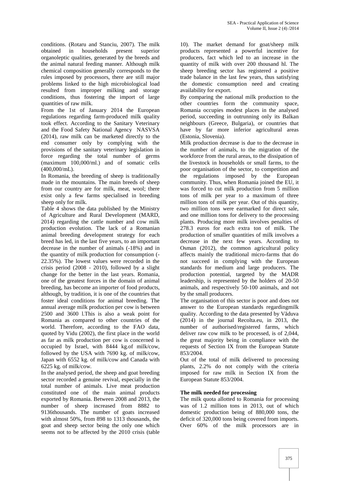conditions. (Rotaru and Stanciu, 2007). The milk obtained in households present superior organoleptic qualities, generated by the breeds and the animal natural feeding manner. Although milk chemical composition generally corresponds to the rules imposed by processors, there are still major problems linked to the high microbiological load resulted from improper milking and storage conditions, thus fostering the import of large quantities of raw milk.

From the 1st of January 2014 the European regulations regarding farm-produced milk quality took effect. According to the Sanitary Veterinary and the Food Safety National Agency NASVSA (2014), raw milk can be marketed directly to the end consumer only by complying with the provisions of the sanitary veterinary legislation in force regarding the total number of germs (maximum 100,000/ml.) and of somatic cells (400,000/mL).

In Romania, the breeding of sheep is traditionally made in the mountains. The main breeds of sheep from our country are for milk, meat, wool; there exist only a few farms specialised in breeding sheep only for milk.

Table 4 shows the data published by the Ministry of Agriculture and Rural Development (MARD, 2014) regarding the cattle number and cow milk production evolution. The lack of a Romanian animal breeding development strategy for each breed has led, in the last five years, to an important decrease in the number of animals (-18%) and in the quantity of milk production for consumption (- 22.35%). The lowest values were recorded in the crisis period (2008 - 2010), followed by a slight change for the better in the last years. Romania, one of the greatest forces in the domain of animal breeding, has become an importer of food products, although, by tradition, it is one of the countries that foster ideal conditions for animal breeding. The annual average milk production per cow is between 2500 and 3600 l.This is also a weak point for Romania as compared to other countries of the world. Therefore, according to the FAO data, quoted by Vidu (2002), the first place in the world as far as milk production per cow is concerned is occupied by Israel, with 8444 kg.of milk/cow, followed by the USA with 7690 kg. of milk/cow, Japan with 6552 kg. of milk/cow and Canada with 6225 kg. of milk/cow.

In the analysed period, the sheep and goat breeding sector recorded a genuine revival, especially in the total number of animals. Live meat production constituted one of the main animal products exported by Romania. Between 2008 and 2013, the number of sheep increased from 8882 to 9136thousands. The number of goats increased with almost 50%, from 898 to 1313 thousands, the goat and sheep sector being the only one which seems not to be affected by the 2010 crisis (table 10). The market demand for goat/sheep milk products represented a powerful incentive for producers, fact which led to an increase in the quantity of milk with over 200 thousand hl. The sheep breeding sector has registered a positive trade balance in the last few years, thus satisfying the domestic consumption need and creating availability for export.

By comparing the national milk production to the other countries form the community space, Romania occupies modest places in the analysed period, succeeding in outrunning only its Balkan neighbours (Greece, Bulgaria), or countries that have by far more inferior agricultural areas (Estonia, Slovenia).

Milk production decrease is due to the decrease in the number of animals, to the migration of the workforce from the rural areas, to the dissipation of the livestock in households or small farms, to the poor organisation of the sector, to competition and the regulations imposed by the European community. Thus, when Romania joined the EU, it was forced to cut milk production from 5 million tons of milk per year to a maximum of three million tons of milk per year. Out of this quantity, two million tons were earmarked for direct sale, and one million tons for delivery to the processing plants. Producing more milk involves penalties of 278.3 euros for each extra ton of milk. The production of smaller quantities of milk involves a decrease in the next few years. According to Osman (2012), the common agricultural policy affects mainly the traditional micro-farms that do not succeed in complying with the European standards for medium and large producers. The production potential, targeted by the MADR leadership, is represented by the holders of 20-50 animals, and respectively 50-100 animals, and not by the small producers.

The organisation of this sector is poor and does not answer to the European standards regardingmilk quality. According to the data presented by  $V$  duva (2014) in the journal Recolta.eu, in 2013, the number of authorised/registered farms, which deliver raw cow milk to be processed, is of 2,044, the great majority being in compliance with the requests of Section IX from the European Statute 853/2004.

Out of the total of milk delivered to processing plants, 2.2% do not comply with the criteria imposed for raw milk in Section IX from the European Statute 853/2004.

# **The milk needed for processing**

The milk quota allotted to Romania for processing was of 1.2 million tons in 2013, out of which domestic production being of 880,000 tons, the deficit of 320,000 tons being covered from imports. Over 60% of the milk processors are in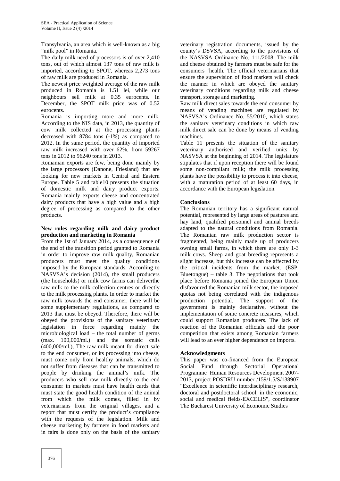Transylvania, an area which is well-known as a big "milk pool" in Romania.

The daily milk need of processors is of over 2,410 tons, out of which almost 137 tons of raw milk is imported, according to SPOT, whereas 2,273 tons of raw milk are produced in Romania.

The newest price weighted average of the raw milk produced in Romania is 1.51 lei, while our neighbours sell milk at 0.35 eurocents. In December, the SPOT milk price was of 0.52 eurocents.

Romania is importing more and more milk. According to the NIS data, in 2013, the quantity of cow milk collected at the processing plants decreased with 8784 tons (-1%) as compared to 2012. In the same period, the quantity of imported raw milk increased with over 62%, from 59267 tons in 2012 to 96240 tons in 2013.

Romanian exports are few, being done mainly by the large processors (Danone, Friesland) that are looking for new markets in Central and Eastern Europe. Table 5 and table10 presents the situation of domestic milk and dairy product exports. Romania mainly exports cheese and concentrated dairy products that have a high value and a high degree of processing as compared to the other products.

#### **New rules regarding milk and dairy product production and marketing in Romania**

From the 1st of January 2014, as a consequence of the end of the transition period granted to Romania in order to improve raw milk quality, Romanian producers must meet the quality conditions imposed by the European standards. According to NASVSA's decision (2014), the small producers (the households) or milk cow farms can deliverthe raw milk to the milk collection centres or directly to the milk processing plants. In order to market the raw milk towards the end consumer, there will be some supplementary regulations, as compared to 2013 that must be obeyed. Therefore, there will be obeyed the provisions of the sanitary veterinary legislation in force regarding mainly the microbiological load – the total number of germs (max. 100,000/ml.) and the somatic cells (400,000/ml.), The raw milk meant for direct sale to the end consumer, or its processing into cheese, must come only from healthy animals, which do not suffer from diseases that can be transmitted to people by drinking the animal's milk. The producers who sell raw milk directly to the end consumer in markets must have health cards that must state the good health condition of the animal from which the milk comes, filled in by veterinarians from the original villages, and a report that must certify the product's compliance with the requests of the legislation. Milk and cheese marketing by farmers in food markets and in fairs is done only on the basis of the sanitary

veterinary registration documents, issued by the county's DSVSA, according to the provisions of the NASVSA Ordinance No. 111/2008. The milk and cheese obtained by farmers must be safe for the consumers 'health. The official veterinarians that ensure the supervision of food markets will check the manner in which are obeyed the sanitary veterinary conditions regarding milk and cheese transport, storage and marketing.

Raw milk direct sales towards the end consumer by means of vending machines are regulated by NASVSA's Ordinance No. 55/2010, which states the sanitary veterinary conditions in which raw milk direct sale can be done by means of vending machines.

Table 11 presents the situation of the sanitary veterinary authorised and verified units by NASVSA at the beginning of 2014. The legislature stipulates that if upon reception there will be found some non-compliant milk; the milk processing plants have the possibility to process it into cheese, with a maturation period of at least 60 days, in accordance with the European legislation.

## **Conclusions**

The Romanian territory has a significant natural potential, represented by large areas of pastures and hay land, qualified personnel and animal breeds adapted to the natural conditions from Romania. The Romanian raw milk production sector is fragmented, being mainly made up of producers owning small farms, in which there are only 1-3 milk cows. Sheep and goat breeding represents a slight increase, but this increase can be affected by the critical incidents from the market. (ESP, Bluetongue) – table 3. The negotiations that took place before Romania joined the European Union disfavoured the Romanian milk sector, the imposed quotas not being correlated with the indigenous production potential. The support of the government is mainly declarative, without the implementation of some concrete measures, which could support Romanian producers. The lack of reaction of the Romanian officials and the poor competition that exists among Romanian farmers will lead to an ever higher dependence on imports.

#### **Acknowledgments**

This paper was co-financed from the European Social Fund through Sectorial Operational Programme Human Resources Development 2007- 2013, project POSDRU number /159/1.5/S/138907 "Excellence in scientific interdisciplinary research, doctoral and postdoctoral school, in the economic, social and medical fields-EXCELIS", coordinator The Bucharest University of Economic Studies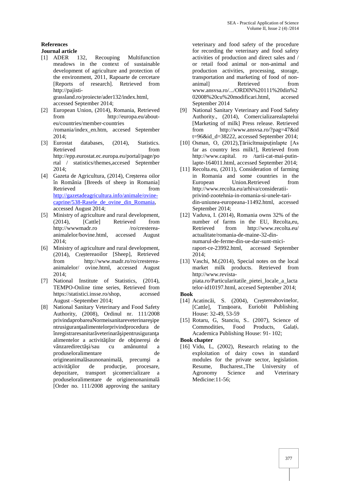# **References**

#### **Journal article**

- [1] ADER 132, Recouping Multifunction meadows in the context of sustainable development of agriculture and protection of the environment, 2011, Rapoarte de cercetare [Reports of research]. Retrieved from http://pajisti grassland.ro/proiecte/ader132/index.html, accessed September 2014;
- [2] European Union, (2014), Romania, Retrieved from http://europa.eu/about eu/countries/member-countries /romania/index\_en.htm, accesed September 2014;
- [3] Eurostat databases, (2014), Statistics. Retrieved from http://epp.eurostat.ec.europa.eu/portal/page/po rtal / statistics/themes,accesed September 2014;
- [4] Gazeta de Agricultura, (2014), Cre terea oilor în România [Breeds of sheep in Romania] Retrieved from http://gazetadeagricultura.info/animale/ovine caprine/538-Rasele\_de\_ovine\_din\_Romania, accessed August 2014;
- [5] Ministry of agriculture and rural development, (2014), [Cattle] Retrieved from http://wwwmadr.ro /ro/crestereaanimalelor/bovine.html, accessed August 2014;
- [6] Ministry of agriculture and rural development,  $(2014)$ , Createreaoilor [Sheep], Retrieved from http://www.madr.ro/ro/cresterea animalelor/ ovine.html, accessed August 2014;
- [7] National Institute of Statistics, (2014). TEMPO-Online time series, Retrieved from https://statistici.insse.ro/shop, accessed August –September 2014;
- [8] National Sanitary Veterinary and Food Safety Authority, (2008), Ordinul nr. 111/2008 privindaprobareaNormeisanitareveterinare ipe ntrusiguran aalimentelorprivindprocedura de înregistraresanitar veterinar ipentrusiguran a alimentelor a activit ilor de ob inere i de vânzaredirect i/sau cu am nuntul a produseloralimentare de origineanimal saunonanimal, precum i a activit ilor de producie, procesare, depozitare, transport icomercializare a produseloralimentare de originenonanimală [Order no. 111/2008 approving the sanitary

veterinary and food safety of the procedure for recording the veterinary and food safety activities of production and direct sales and / or retail food animal or non-animal and production activities, processing, storage, transportation and marketing of food of non- Retrieved from www.ansvsa.ro/.../ORDIN%20111%20din%2 02008%20cu%20modificari.html, accesed September 2014

- National Sanitary Veterinary and Food Safety Authority., (2014), Comercializarealaptelui [Marketing of milk] Press release. Retrieved from http://www.ansvsa.ro/?pag=47&id  $t=96\text{\&id}$  d=38222, accessed September 2014;
- [10] Osman, O, (2012), Tăriicîtmaipuținlapte [As far as country less milk!], Retrieved from http://www.capital. ro /tarii-cat-mai-putinlapte-164011.html, accessed September 2014;
- [11] Recolta.eu, (2011), Consideration of farming in Romania and some countries in the European Union.Retrieved from http://www.recolta.eu/arhiva/consideratii privind-zootehnia-in-romania-si-unele-tari din-uniunea-europeana-11492.html, accessed September 2014;
- [12] Vaduva, I. (2014), Romania owns 32% of the number of farms in the EU, Recolta,eu, Retrieved from http://www.recolta.eu/ actualitate/romania-de-maine-32-din numarul-de-ferme-din-ue-dar-sunt-miciraport-ce-23992.html, accessed September 2014;
- [13] Vaschi, M.(2014), Special notes on the local market milk products. Retrieved from http://www.revista piata.ro/Particularitatile\_pietei\_locale\_a\_lacta telor-id10197.html, accesed September 2014;

## **Book**

- [14] Acatinc i, S.  $(2004)$ , Cre tereabovinelor, [Cattle], Timi oara, Euriobit Publishing House: 32-49, 53-59
- [15] Rotaru, G, Stanciu, S.. (2007), Science of Commodities, Food Products, Galați, Academica Publishing House: 91- 102;

**Book chapter**

[16] Vidu, L, (2002), Research relating to the exploitation of dairy cows in standard modules for the private sector, legislation. Resume, Bucharest.,The University of Agronomy Science and Veterinary Medicine:11-56;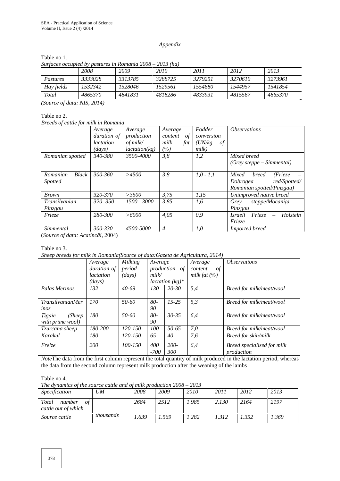#### *Appendix*

|                                |         | Surfaces occupied by pastures in Romania $2008 - 2013$ (ha) |         |         |         |         |
|--------------------------------|---------|-------------------------------------------------------------|---------|---------|---------|---------|
|                                | 2008    | 2009                                                        | 2010    | 2011    | 2012    | 2013    |
| Pastures                       | 3333028 | 3313785                                                     | 3288725 | 3279251 | 3270610 | 3273961 |
| Hay fields                     | 1532342 | 1528046                                                     | 1529561 | 1554680 | 1544957 | 1541854 |
| Total                          | 4865370 | 4841831                                                     | 4818286 | 4833931 | 4815567 | 4865370 |
| (Source of data: NIS, $2014$ ) |         |                                                             |         |         |         |         |

Table no 1.

# Table no 2.

*Breeds of cattle for milk in Romania*

|                                            | Average                        | Average       | Average        | Fodder        | <i><b>Observations</b></i>                                   |
|--------------------------------------------|--------------------------------|---------------|----------------|---------------|--------------------------------------------------------------|
|                                            | <i>duration of</i>             | production    | content<br>of  | conversion    |                                                              |
|                                            | <i>lactation</i>               | of $milk/$    | milk<br>fat    | (UN/kg)<br>of |                                                              |
|                                            | $\left($ <i>days</i> $\right)$ | lactation(kg) | $( \% )$       | milk)         |                                                              |
| Romanian spotted                           | 340-380                        | 3500-4000     | 3,8            | 1,2           | Mixed breed                                                  |
|                                            |                                |               |                |               | (Grey steppe – Simmental)                                    |
| Romanian<br><b>Black</b><br><i>Spotted</i> | 300-360                        | >4500         | 3,8            | $1,0 - 1,1$   | Mixed<br><i>breed</i><br>(Frieze<br>red/Spotted/<br>Dobrogea |
|                                            |                                |               |                |               | Romanian spotted/Pinzgau)                                    |
| <b>Brown</b>                               | 320-370                        | >3500         | 3.75           | 1,15          | Unimproved native breed                                      |
| <b>Transilvanian</b>                       | $320 - 350$                    | 1500 - 3000   | 3,85           | 1,6           | steppe/Mocanita<br>Grey<br>$\overline{\phantom{0}}$          |
| Pinzgau                                    |                                |               |                |               | Pinzgau                                                      |
| Frieze                                     | 280-300                        | >6000         | 4,05           | 0,9           | Frieze<br>Holstein<br>Israeli                                |
|                                            |                                |               |                |               | Frieze                                                       |
| Simmental                                  | 300-330                        | 4500-5000     | $\overline{4}$ | 1,0           | Imported breed                                               |

(*Source of data: Acatinc i, 2004*)

Table no 3.

*Sheep breeds for milk in Romania(Source of data:Gazeta de Agricultura, 2014)*

|                         | Average                         | Milking   | Average |                           | Average          | <i><b>Observations</b></i> |
|-------------------------|---------------------------------|-----------|---------|---------------------------|------------------|----------------------------|
|                         | <i>duration of</i>              | period    |         | production of             | of<br>content    |                            |
|                         | <i>lactation</i>                | (days)    | milk/   |                           | milk fat $(\% )$ |                            |
|                         | $\langle \textit{days} \rangle$ |           |         | <i>lactation</i> $(kg)^*$ |                  |                            |
| Palas Merinos           | 132                             | $40-69$   | 130     | 20-30                     | 5,4              | Breed for milk/meat/wool   |
|                         |                                 |           |         |                           |                  |                            |
| <i>TransilvanianMer</i> | 170                             | $50 - 60$ | $80-$   | $15 - 25$                 | 5,3              | Breed for milk/meat/wool   |
| inos                    |                                 |           | 90      |                           |                  |                            |
| (Sheep<br><i>Tigaie</i> | 180                             | $50 - 60$ | 80-     | $30 - 35$                 | 6,4              | Breed for milk/meat/wool   |
| with prime wool)        |                                 |           | 90      |                           |                  |                            |
| Tzurcana sheep          | 180-200                         | 120-150   | 100     | 50-65                     | 7,0              | Breed for milk/meat/wool   |
| Karakul                 | 180                             | 120-150   | 65      | 40                        | 7,6              | Breed for skin/milk        |
|                         |                                 |           |         |                           |                  |                            |
| Freize                  | <b>200</b>                      | 100-150   | 400     | $200 -$                   | 6,4              | Breed specialised for milk |
|                         |                                 |           | $-700$  | 300                       |                  | production                 |

*Note*The data from the first column represent the total quantity of milk produced in the lactation period, whereas the data from the second column represent milk production after the weaning of the lambs

#### Table no 4.

*The dynamics of the source cattle and of milk production 2008 – 2013*

| <i>Specification</i>                         | UM               | 2008  | 2009   | 2010 | 2011  | 2012 | 2013 |
|----------------------------------------------|------------------|-------|--------|------|-------|------|------|
| Total<br>οf<br>number<br>cattle out of which |                  | 2684  | 2512   | .985 | 2.130 | 2164 | 2197 |
| Source cattle                                | <i>thousands</i> | 1.639 | . .569 | .282 | .312  | .352 | .369 |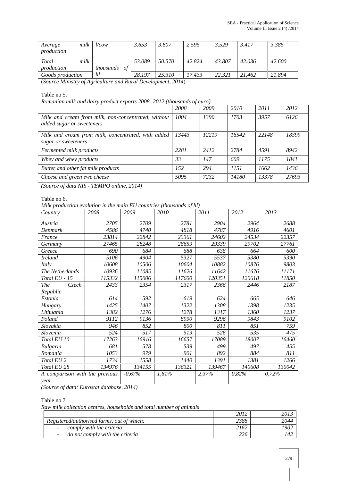| Average<br>production | milk | <i>Vcow</i> |    | 3.653  | 3.807  | 2.595  | 3.529  | 3.417  | 3.385  |
|-----------------------|------|-------------|----|--------|--------|--------|--------|--------|--------|
| Total                 | milk |             |    | 53.089 | 50.570 | 42.824 | 43.807 | 42.036 | 42.600 |
| production            |      | thousands   | of |        |        |        |        |        |        |
| Goods production      |      | hl          |    | 28.197 | 25.310 | 17.433 | 22.321 | 21.462 | 21.894 |

(*Source Ministry of Agriculture and Rural Development, 2014*)

#### Table no 5.

*Romanian milk and dairy product exports 2008- 2012 (thousands of euro)*

|                                                                                  | 2008  | 2009  | 2010  | 2011  | 2012  |
|----------------------------------------------------------------------------------|-------|-------|-------|-------|-------|
| Milk and cream from milk, non-concentrated, without<br>added sugar or sweeteners | 1004  | 1390  | 1703  | 3957  | 6126  |
| Milk and cream from milk, concentrated, with added<br>sugar or sweeteners        | 13443 | 12219 | 16542 | 22148 | 18399 |
| Fermented milk products                                                          | 2281  | 2412  | 2784  | 4591  | 8942  |
| Whey and whey products                                                           | 33    | 147   | 609   | 1175  | 1841  |
| Butter and other fat milk products                                               | 152   | 294   | 1151  | 1662  | 1436  |
| Cheese and green ewe cheese                                                      | 5095  | 7232  | 14180 | 13378 | 27693 |
|                                                                                  |       |       |       |       |       |

*(Source of data NIS - TEMPO online, 2014)*

#### Table no 6.

*Milk production evolution in the main EU countries (thousands of hl)*

| Country                        | 2008   | 2009     | 2010   | 2011   | 2012   | 2013   |
|--------------------------------|--------|----------|--------|--------|--------|--------|
| Austria                        | 2705   | 2709     | 2781   | 2904   | 2964   | 2688   |
| Denmark                        | 4586   | 4740     | 4818   | 4787   | 4916   | 4601   |
| France                         | 23814  | 22842    | 23361  | 24602  | 24534  | 22357  |
| Germany                        | 27465  | 28248    | 28659  | 29339  | 29702  | 27761  |
| Greece                         | 690    | 684      | 688    | 638    | 664    | 600    |
| <b>Ireland</b>                 | 5106   | 4904     | 5327   | 5537   | 5380   | 5390   |
| Italy                          | 10608  | 10506    | 10604  | 10882  | 10876  | 9803   |
| The Netherlands                | 10936  | 11085    | 11626  | 11642  | 11676  | 11171  |
| Total EU - 15                  | 115332 | 115006   | 117600 | 120351 | 120618 | 11850  |
| <b>The</b><br>Czech            | 2433   | 2354     | 2317   | 2366   | 2446   | 2187   |
| Republic                       |        |          |        |        |        |        |
| Estonia                        | 614    | 592      | 619    | 624    | 665    | 646    |
| Hungary                        | 1425   | 1407     | 1322   | 1308   | 1398   | 1235   |
| Lithuania                      | 1382   | 1276     | 1278   | 1317   | 1360   | 1237   |
| Poland                         | 9112   | 9136     | 8990   | 9296   | 9843   | 9102   |
| Slovakia                       | 946    | 852      | 800    | 811    | 851    | 759    |
| Slovenia                       | 524    | 517      | 519    | 526    | 535    | 475    |
| Total EU 10                    | 17263  | 16916    | 16657  | 17089  | 18007  | 16460  |
| <b>Bulgaria</b>                | 681    | 578      | 539    | 499    | 497    | 455    |
| Romania                        | 1053   | 979      | 901    | 892    | 884    | 811    |
| Total EU <sub>2</sub>          | 1734   | 1558     | 1440   | 1391   | 1381   | 1266   |
| Total EU 28                    | 134976 | 134155   | 136321 | 139467 | 140608 | 130042 |
| A comparison with the previous |        | $-0.67%$ | 1,61%  | 2,37%  | 0,82%  | 0,72%  |
| year                           |        |          |        |        |        |        |

*(Source of data: Eurostat database, 2014)*

# Table no 7

*Raw milk collection centres, households and total number of animals*

|                                                             | 2012 | 2013 |
|-------------------------------------------------------------|------|------|
| Registered/authorised farms, out of which:                  | 2388 | 2044 |
| comply with the criteria<br>$\sim$                          | 2162 | !902 |
| do not comply with the criteria<br>$\overline{\phantom{a}}$ | 226  | 142  |